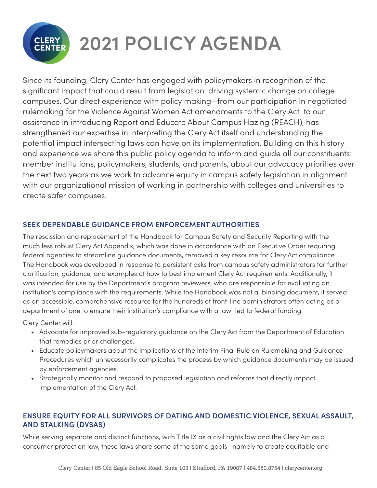

# **2021 POLICY AGENDA**

Since its founding, Clery Center has engaged with policymakers in recognition of the significant impact that could result from legislation: driving systemic change on college campuses. Our direct experience with policy making—from our participation in negotiated rulemaking for the Violence Against Women Act amendments to the Clery Act to our assistance in introducing Report and Educate About Campus Hazing (REACH), has strengthened our expertise in interpreting the Clery Act itself and understanding the potential impact intersecting laws can have on its implementation. Building on this history and experience we share this public policy agenda to inform and guide all our constituents: member institutions, policymakers, students, and parents, about our advocacy priorities over the next two years as we work to advance equity in campus safety legislation in alignment with our organizational mission of working in partnership with colleges and universities to create safer campuses.

### **SEEK DEPENDABLE GUIDANCE FROM ENFORCEMENT AUTHORITIES**

The rescission and replacement of the Handbook for Campus Safety and Security Reporting with the much less robust Clery Act Appendix, which was done in accordance with an Executive Order requiring federal agencies to streamline guidance documents, removed a key resource for Clery Act compliance. The Handbook was developed in response to persistent asks from campus safety administrators for further clarification, guidance, and examples of how to best implement Clery Act requirements. Additionally, it was intended for use by the Department's program reviewers, who are responsible for evaluating an institution's compliance with the requirements. While the Handbook was not a binding document, it served as an accessible, comprehensive resource for the hundreds of front-line administrators often acting as a department of one to ensure their institution's compliance with a law tied to federal funding.

Clery Center will:

- Advocate for improved sub-regulatory guidance on the Clery Act from the Department of Education that remedies prior challenges.
- Educate policymakers about the implications of the Interim Final Rule on Rulemaking and Guidance Procedures which unnecessarily complicates the process by which guidance documents may be issued by enforcement agencies.
- Strategically monitor and respond to proposed legislation and reforms that directly impact implementation of the Clery Act.

### **ENSURE EQUITY FOR ALL SURVIVORS OF DATING AND DOMESTIC VIOLENCE, SEXUAL ASSAULT, AND STALKING (DVSAS)**

While serving separate and distinct functions, with Title IX as a civil rights law and the Clery Act as a consumer protection law, these laws share some of the same goals—namely to create equitable and